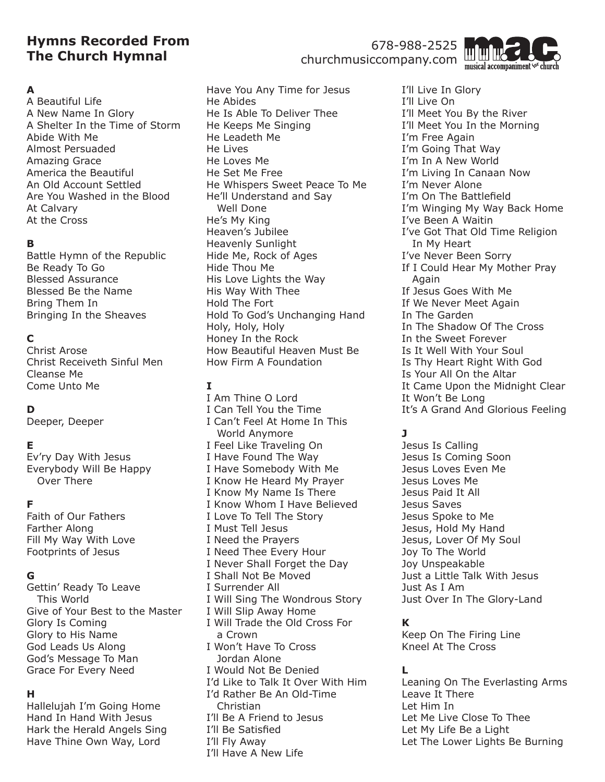# **Hymns Recorded From The Church Hymnal**

#### **A**

A Beautiful Life A New Name In Glory A Shelter In the Time of Storm Abide With Me Almost Persuaded Amazing Grace America the Beautiful An Old Account Settled Are You Washed in the Blood At Calvary At the Cross

#### **B**

Battle Hymn of the Republic Be Ready To Go Blessed Assurance Blessed Be the Name Bring Them In Bringing In the Sheaves

## **C**

Christ Arose Christ Receiveth Sinful Men Cleanse Me Come Unto Me

## **D**

Deeper, Deeper

#### **E**

Ev'ry Day With Jesus Everybody Will Be Happy Over There

#### **F**

Faith of Our Fathers Farther Along Fill My Way With Love Footprints of Jesus

#### **G**

Gettin' Ready To Leave This World Give of Your Best to the Master Glory Is Coming Glory to His Name God Leads Us Along God's Message To Man Grace For Every Need

#### **H**

Hallelujah I'm Going Home Hand In Hand With Jesus Hark the Herald Angels Sing Have Thine Own Way, Lord

Have You Any Time for Jesus He Abides He Is Able To Deliver Thee He Keeps Me Singing He Leadeth Me He Lives He Loves Me He Set Me Free He Whispers Sweet Peace To Me He'll Understand and Say Well Done He's My King Heaven's Jubilee Heavenly Sunlight Hide Me, Rock of Ages Hide Thou Me His Love Lights the Way His Way With Thee Hold The Fort Hold To God's Unchanging Hand Holy, Holy, Holy Honey In the Rock How Beautiful Heaven Must Be How Firm A Foundation

## **I**

I Am Thine O Lord I Can Tell You the Time I Can't Feel At Home In This World Anymore I Feel Like Traveling On I Have Found The Way I Have Somebody With Me I Know He Heard My Prayer I Know My Name Is There I Know Whom I Have Believed I Love To Tell The Story I Must Tell Jesus I Need the Prayers I Need Thee Every Hour I Never Shall Forget the Day I Shall Not Be Moved I Surrender All I Will Sing The Wondrous Story I Will Slip Away Home I Will Trade the Old Cross For a Crown I Won't Have To Cross Jordan Alone I Would Not Be Denied I'd Like to Talk It Over With Him I'd Rather Be An Old-Time Christian I'll Be A Friend to Jesus I'll Be Satisfied I'll Fly Away I'll Have A New Life

678-988-2525 churchmusiccompany.com



I'll Live In Glory I'll Live On I'll Meet You By the River I'll Meet You In the Morning I'm Free Again I'm Going That Way I'm In A New World I'm Living In Canaan Now I'm Never Alone I'm On The Battlefield I'm Winging My Way Back Home I've Been A Waitin I've Got That Old Time Religion In My Heart I've Never Been Sorry If I Could Hear My Mother Pray Again If Jesus Goes With Me If We Never Meet Again In The Garden In The Shadow Of The Cross In the Sweet Forever Is It Well With Your Soul Is Thy Heart Right With God Is Your All On the Altar It Came Upon the Midnight Clear It Won't Be Long It's A Grand And Glorious Feeling

# **J**

Jesus Is Calling Jesus Is Coming Soon Jesus Loves Even Me Jesus Loves Me Jesus Paid It All Jesus Saves Jesus Spoke to Me Jesus, Hold My Hand Jesus, Lover Of My Soul Joy To The World Joy Unspeakable Just a Little Talk With Jesus Just As I Am Just Over In The Glory-Land

#### **K**

Keep On The Firing Line Kneel At The Cross

#### **L**

Leaning On The Everlasting Arms Leave It There Let Him In Let Me Live Close To Thee Let My Life Be a Light Let The Lower Lights Be Burning